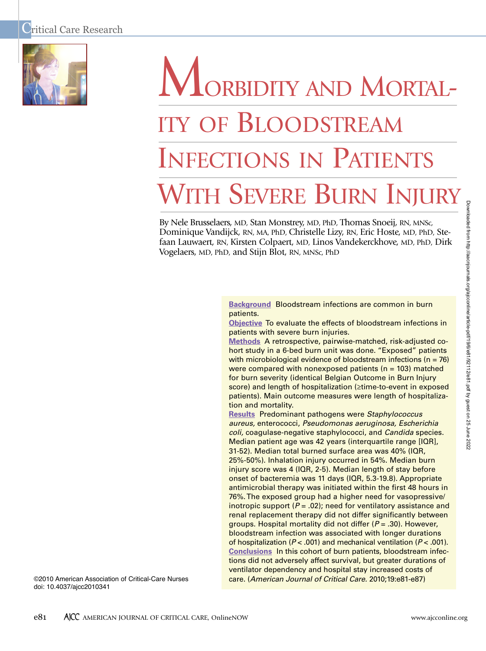

# ORBIDITY AND MORTAL-ITY OF BLOODSTREAM INFECTIONS IN PATIENTS WITH SEVERE BURN INJURY

By Nele Brusselaers, MD, Stan Monstrey, MD, PhD, Thomas Snoeij, RN, MNSc, Dominique Vandijck, RN, MA, PhD, Christelle Lizy, RN, Eric Hoste, MD, PhD, Stefaan Lauwaert, RN, Kirsten Colpaert, MD, Linos Vandekerckhove, MD, PhD, Dirk Vogelaers, MD, PhD, and Stijn Blot, RN, MNSc, PhD

> **Background** Bloodstream infections are common in burn patients.

**Objective** To evaluate the effects of bloodstream infections in patients with severe burn injuries.

**Methods** A retrospective, pairwise-matched, risk-adjusted cohort study in a 6-bed burn unit was done. "Exposed" patients with microbiological evidence of bloodstream infections ( $n = 76$ ) were compared with nonexposed patients ( $n = 103$ ) matched for burn severity (identical Belgian Outcome in Burn Injury score) and length of hospitalization (≥time-to-event in exposed patients). Main outcome measures were length of hospitalization and mortality.

**Results** Predominant pathogens were *Staphylococcus aureus,* enterococci, *Pseudomonas aeruginosa, Escherichia coli,* coagulase-negative staphylococci, and *Candida* species. Median patient age was 42 years (interquartile range [IQR], 31-52). Median total burned surface area was 40% (IQR, 25%-50%). Inhalation injury occurred in 54%. Median burn injury score was 4 (IQR, 2-5). Median length of stay before onset of bacteremia was 11 days (IQR, 5.3-19.8). Appropriate antimicrobial therapy was initiated within the first 48 hours in 76%.The exposed group had a higher need for vasopressive/ inotropic support  $(P = .02)$ ; need for ventilatory assistance and renal replacement therapy did not differ significantly between groups. Hospital mortality did not differ (*P* = .30). However, bloodstream infection was associated with longer durations of hospitalization (*P* < .001) and mechanical ventilation (*P* < .001). **Conclusions** In this cohort of burn patients, bloodstream infections did not adversely affect survival, but greater durations of ventilator dependency and hospital stay increased costs of care. (*American Journal of Critical Care.* 2010;19:e81-e87)

©2010 American Association of Critical-Care Nurses doi: 10.4037/ajcc2010341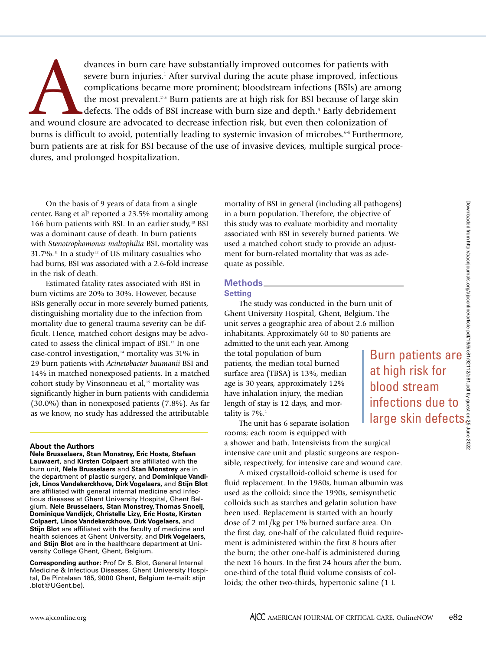dvances in burn care have substantially improved outcomes for patients with<br>severe burn injuries.<sup>1</sup> After survival during the acute phase improved, infection<br>complications became more prominent; bloodstream infections (BS severe burn injuries. <sup>1</sup> After survival during the acute phase improved, infectious complications became more prominent; bloodstream infections (BSIs) are among the most prevalent.<sup>25</sup> Burn patients are at high risk for BSI because of large skin defects. The odds of BSI increase with burn size and depth. <sup>4</sup> Early debridement burns is difficult to avoid, potentially leading to systemic invasion of microbes.<sup>648</sup> Furthermore, burn patients are at risk for BSI because of the use of invasive devices, multiple surgical procedures, and prolonged hospitalization.

On the basis of 9 years of data from a single center, Bang et al <sup>9</sup> reported a 23.5% mortality among 166 burn patients with BSI. In an earlier study,<sup>10</sup> BSI was a dominant cause of death. In burn patients with *Stenotrophomonas maltophilia* BSI, mortality was  $31.7\%$ .<sup>11</sup> In a study<sup>12</sup> of US military casualties who had burns, BSI was associated with a 2.6-fold increase in the risk of death.

Estimated fatality rates associated with BSI in burn victims are 20% to 30%. However, because BSIs generally occur in more severely burned patients, distinguishing mortality due to the infection from mortality due to general trauma severity can be difficult. Hence, matched cohort designs may be advocated to assess the clinical impact of BSI. <sup>13</sup> In one case-control investigation, <sup>14</sup> mortality was 31% in 29 burn patients with *Acinetobacter baumanii* BSI and 14% in matched nonexposed patients. In a matched cohort study by Vinsonneau et al, <sup>15</sup> mortality was significantly higher in burn patients with candidemia (30.0%) than in nonexposed patients (7.8%). As far as we know, no study has addressed the attributable

### **About the Authors**

**Nele Brusselaers, Stan Monstrey, Eric Hoste, Stefaan Lauwaert,** and **Kirsten Colpaert** are affiliated with the burn unit, **Nele Brusselaers** and **Stan Monstrey** are in the department of plastic surgery, and **Dominique Vandijck, Linos Vandekerckhove, Dirk Vogelaers,** and **Stijn Blot** are affiliated with general internal medicine and infectious diseases at Ghent University Hospital, Ghent Belgium. **Nele Brusselaers, Stan Monstrey,Thomas Snoeij, Dominique Vandijck, Christelle Lizy, Eric Hoste, Kirsten Colpaert, Linos Vandekerckhove, Dirk Vogelaers,** and **Stijn Blot** are affiliated with the faculty of medicine and health sciences at Ghent University, and **Dirk Vogelaers,** and **Stijn Blot** are in the healthcare department at University College Ghent, Ghent, Belgium.

**Corresponding author:** Prof Dr S. Blot, General Internal Medicine & Infectious Diseases, Ghent University Hospital, De Pintelaan 185, 9000 Ghent, Belgium (e-mail: stijn .blot@UGent.be).

mortality of BSI in general (including all pathogens) in a burn population. Therefore, the objective of this study was to evaluate morbidity and mortality associated with BSI in severely burned patients. We used a matched cohort study to provide an adjustment for burn-related mortality that was as adequate as possible.

# **Methods Setting**

The study was conducted in the burn unit of Ghent University Hospital, Ghent, Belgium. The unit serves a geographic area of about 2.6 million inhabitants. Approximately 60 to 80 patients are admitted to the unit each year. Among the total population of burn patients, the median total burned surface area (TBSA) is 13%, median age is 30 years, approximately 12% have inhalation injury, the median length of stay is 12 days, and mortality is 7%. 1

The unit has 6 separate isolation rooms; each room is equipped with a shower and bath. Intensivists from the surgical intensive care unit and plastic surgeons are responsible, respectively, for intensive care and wound care.

A mixed crystalloid-colloid scheme is used for fluid replacement. In the 1980s, human albumin was used as the colloid; since the 1990s, semisynthetic colloids such as starches and gelatin solution have been used. Replacement is started with an hourly dose of 2 mL/kg per 1% burned surface area. On the first day, one-half of the calculated fluid requirement is administered within the first 8 hours after the burn; the other one-half is administered during the next 16 hours. In the first 24 hours after the burn, one-third of the total fluid volume consists of colloids; the other two-thirds, hypertonic saline (1 L

Burn patients are at high risk for blood stream infections due to large skin defects.Downloaded from http://aacnjournals.org/ajcconline/article-pdf/19/6/e81/92112/e81.pdf by guest on 25 June 2022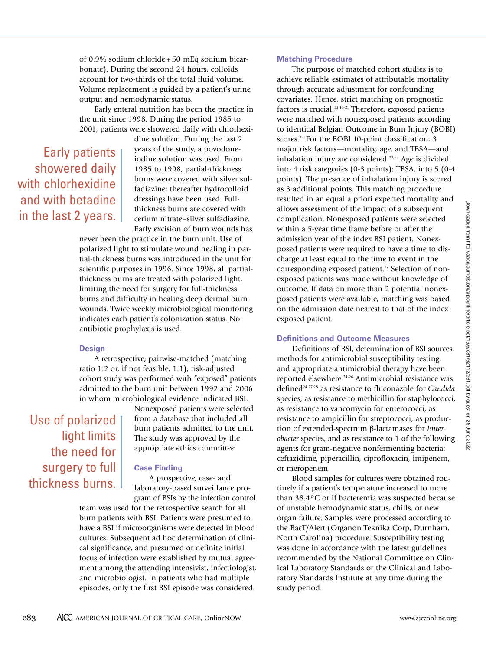of 0.9% sodium chloride + 50 mEq sodium bicarbonate). During the second 24 hours, colloids account for two-thirds of the total fluid volume. Volume replacement is guided by a patient's urine output and hemodynamic status.

Early enteral nutrition has been the practice in the unit since 1998. During the period 1985 to 2001, patients were showered daily with chlorhexi-

Early patients showered daily with chlorhexidine and with betadine in the last 2 years.

dine solution. During the last 2 years of the study, a povodoneiodine solution was used. From 1985 to 1998, partial-thickness burns were covered with silver sulfadiazine; thereafter hydrocolloid dressings have been used. Fullthickness burns are covered with cerium nitrate–silver sulfadiazine. Early excision of burn wounds has

never been the practice in the burn unit. Use of polarized light to stimulate wound healing in partial-thickness burns was introduced in the unit for scientific purposes in 1996. Since 1998, all partialthickness burns are treated with polarized light, limiting the need for surgery for full-thickness burns and difficulty in healing deep dermal burn wounds. Twice weekly microbiological monitoring indicates each patient's colonization status. No antibiotic prophylaxis is used.

### **Design**

A retrospective, pairwise-matched (matching ratio 1:2 or, if not feasible, 1:1), risk-adjusted cohort study was performed with "exposed" patients admitted to the burn unit between 1992 and 2006 in whom microbiological evidence indicated BSI.

Use of polarized light limits the need for surgery to full thickness burns.

Nonexposed patients were selected from a database that included all burn patients admitted to the unit. The study was approved by the appropriate ethics committee.

# **Case Finding**

A prospective, case- and laboratory-based surveillance program of BSIs by the infection control

team was used for the retrospective search for all burn patients with BSI. Patients were presumed to have a BSI if microorganisms were detected in blood cultures. Subsequent ad hoc determination of clinical significance, and presumed or definite initial focus of infection were established by mutual agreement among the attending intensivist, infectiologist, and microbiologist. In patients who had multiple episodes, only the first BSI episode was considered.

### **Matching Procedure**

The purpose of matched cohort studies is to achieve reliable estimates of attributable mortality through accurate adjustment for confounding covariates. Hence, strict matching on prognostic factors is crucial. 13,16-21 Therefore, exposed patients were matched with nonexposed patients according to identical Belgian Outcome in Burn Injury (BOBI) scores. <sup>22</sup> For the BOBI 10-point classification, 3 major risk factors—mortality, age, and TBSA—and inhalation injury are considered. 22,23 Age is divided into 4 risk categories (0-3 points); TBSA, into 5 (0-4 points). The presence of inhalation injury is scored as 3 additional points. This matching procedure resulted in an equal a priori expected mortality and allows assessment of the impact of a subsequent complication. Nonexposed patients were selected within a 5-year time frame before or after the admission year of the index BSI patient. Nonexposed patients were required to have a time to discharge at least equal to the time to event in the corresponding exposed patient. <sup>17</sup> Selection of nonexposed patients was made without knowledge of outcome. If data on more than 2 potential nonexposed patients were available, matching was based on the admission date nearest to that of the index exposed patient.

### **Definitions and Outcome Measures**

Definitions of BSI, determination of BSI sources, methods for antimicrobial susceptibility testing, and appropriate antimicrobial therapy have been reported elsewhere. 24-26 Antimicrobial resistance was defined24,27,28 as resistance to fluconazole for *Candida* species, as resistance to methicillin for staphylococci, as resistance to vancomycin for enterococci, as resistance to ampicillin for streptococci, as production of extended-spectrum β-lactamases for *Enterobacter* species, and as resistance to 1 of the following agents for gram-negative nonfermenting bacteria: ceftazidime, piperacillin, ciprofloxacin, imipenem, or meropenem.

Blood samples for cultures were obtained routinely if a patient's temperature increased to more than 38.4ºC or if bacteremia was suspected because of unstable hemodynamic status, chills, or new organ failure. Samples were processed according to the BacT/Alert (Organon Teknika Corp, Durnham, North Carolina) procedure. Susceptibility testing was done in accordance with the latest guidelines recommended by the National Committee on Clinical Laboratory Standards or the Clinical and Laboratory Standards Institute at any time during the study period.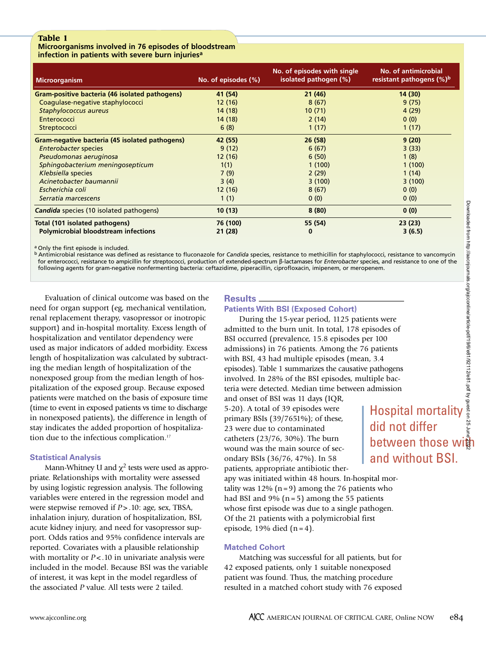# **Microorganisms involved in 76 episodes of bloodstream infection in patients with severe burn injuriesa**

| <b>Microorganism</b>                           | No. of episodes (%) | No. of episodes with single<br>isolated pathogen (%) | No. of antimicrobial<br>resistant pathogens (%) <sup>b</sup> |
|------------------------------------------------|---------------------|------------------------------------------------------|--------------------------------------------------------------|
| Gram-positive bacteria (46 isolated pathogens) | 41 (54)             | 21(46)                                               | 14(30)                                                       |
| Coagulase-negative staphylococci               | 12(16)              | 8(67)                                                | 9(75)                                                        |
| Staphylococcus aureus                          | 14 (18)             | 10(71)                                               | 4(29)                                                        |
| Enterococci                                    | 14(18)              | 2(14)                                                | 0(0)                                                         |
| Streptococci                                   | 6(8)                | 1(17)                                                | 1(17)                                                        |
| Gram-negative bacteria (45 isolated pathogens) | 42 (55)             | 26(58)                                               | 9(20)                                                        |
| <b>Enterobacter species</b>                    | 9(12)               | 6(67)                                                | 3(33)                                                        |
| Pseudomonas aeruginosa                         | 12(16)              | 6(50)                                                | 1(8)                                                         |
| Sphingobacterium meningosepticum               | 1(1)                | 1(100)                                               | 1(100)                                                       |
| Klebsiella species                             | 7(9)                | 2(29)                                                | 1(14)                                                        |
| Acinetobacter baumannii                        | 3(4)                | 3(100)                                               | 3(100)                                                       |
| Escherichia coli                               | 12(16)              | 8(67)                                                | 0(0)                                                         |
| Serratia marcescens                            | 1(1)                | 0(0)                                                 | 0(0)                                                         |
| <b>Candida</b> species (10 isolated pathogens) | 10(13)              | 8(80)                                                | 0(0)                                                         |
| Total (101 isolated pathogens)                 | 76 (100)            | 55 (54)                                              | 23(23)                                                       |
| <b>Polymicrobial bloodstream infections</b>    | 21(28)              | 0                                                    | 3(6.5)                                                       |

a Only the first episode is included.

<sup>b</sup> Antimicrobial resistance was defined as resistance to fluconazole for *Candida* species, resistance to methicillin for staphylococci, resistance to vancomycin for enterococci, resistance to ampicillin for streptococci, production of extended-spectrum β-lactamases for *Enterobacter* species, and resistance to one of the following agents for gram-negative nonfermenting bacteria: ceftazidime, piperacillin, ciprofloxacin, imipenem, or meropenem.

Evaluation of clinical outcome was based on the need for organ support (eg, mechanical ventilation, renal replacement therapy, vasopressor or inotropic support) and in-hospital mortality. Excess length of hospitalization and ventilator dependency were used as major indicators of added morbidity. Excess length of hospitalization was calculated by subtracting the median length of hospitalization of the nonexposed group from the median length of hospitalization of the exposed group. Because exposed patients were matched on the basis of exposure time (time to event in exposed patients vs time to discharge in nonexposed patients), the difference in length of stay indicates the added proportion of hospitalization due to the infectious complication. 17

# **Statistical Analysis**

Mann-Whitney U and  $\chi^2$  tests were used as appropriate. Relationships with mortality were assessed by using logistic regression analysis. The following variables were entered in the regression model and were stepwise removed if *P* > .10: age, sex, TBSA, inhalation injury, duration of hospitalization, BSI, acute kidney injury, and need for vasopressor support. Odds ratios and 95% confidence intervals are reported. Covariates with a plausible relationship with mortality or  $P < 10$  in univariate analysis were included in the model. Because BSI was the variable of interest, it was kept in the model regardless of the associated *P* value. All tests were 2 tailed.

### **Results Patients With BSI (Exposed Cohort)**

During the 15-year period, 1125 patients were admitted to the burn unit. In total, 178 episodes of BSI occurred (prevalence, 15.8 episodes per 100 admissions) in 76 patients. Among the 76 patients with BSI, 43 had multiple episodes (mean, 3.4 episodes). Table 1 summarizes the causative pathogens involved. In 28% of the BSI episodes, multiple bacteria were detected. Median time between admission

and onset of BSI was 11 days (IQR, 5-20). A total of 39 episodes were primary BSIs (39/7651%); of these, 23 were due to contaminated catheters (23/76, 30%). The burn wound was the main source of secondary BSIs (36/76, 47%). In 58 patients, appropriate antibiotic ther-

apy was initiated within 48 hours. In-hospital mortality was  $12\%$  (n=9) among the 76 patients who had BSI and  $9\%$  (n = 5) among the 55 patients whose first episode was due to a single pathogen. Of the 21 patients with a polymicrobial first episode,  $19\%$  died  $(n=4)$ .

# **Matched Cohort**

Matching was successful for all patients, but for 42 exposed patients, only 1 suitable nonexposed patient was found. Thus, the matching procedure resulted in a matched cohort study with 76 exposed

Hospital mortality

and without BSI.

did not differ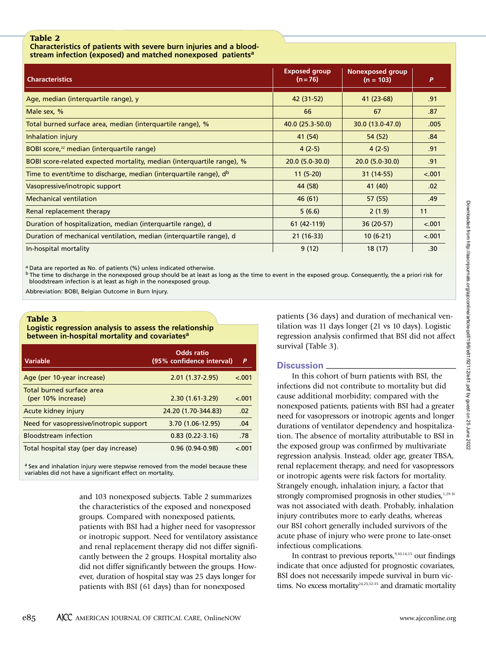**Characteristics of patients with severe burn injuries and a bloodstream infection (exposed) and matched nonexposed patientsa**

| <b>Characteristics</b>                                                        | <b>Exposed group</b><br>$(n = 76)$ | <b>Nonexposed group</b><br>$(n = 103)$ | P       |
|-------------------------------------------------------------------------------|------------------------------------|----------------------------------------|---------|
| Age, median (interquartile range), y                                          | 42 (31-52)                         | 41 (23-68)                             | .91     |
| Male sex, %                                                                   | 66                                 | 67                                     | .87     |
| Total burned surface area, median (interquartile range), %                    | 40.0 (25.3-50.0)                   | 30.0 (13.0-47.0)                       | .005    |
| Inhalation injury                                                             | 41 (54)                            | 54 (52)                                | .84     |
| BOBI score, <sup>22</sup> median (interquartile range)                        | $4(2-5)$                           | $4(2-5)$                               | .91     |
| BOBI score-related expected mortality, median (interquartile range), %        | $20.0(5.0-30.0)$                   | $20.0(5.0-30.0)$                       | .91     |
| Time to event/time to discharge, median (interquartile range), d <sup>b</sup> | $11(5-20)$                         | 31 (14-55)                             | $-.001$ |
| Vasopressive/inotropic support                                                | 44 (58)                            | 41 (40)                                | .02     |
| <b>Mechanical ventilation</b>                                                 | 46(61)                             | 57(55)                                 | .49     |
| Renal replacement therapy                                                     | 5(6.6)                             | 2(1.9)                                 | 11      |
| Duration of hospitalization, median (interquartile range), d                  | 61 (42-119)                        | 36 (20-57)                             | < .001  |
| Duration of mechanical ventilation, median (interquartile range), d           | $21(16-33)$                        | $10(6-21)$                             | < .001  |
| In-hospital mortality                                                         | 9(12)                              | 18(17)                                 | .30     |

<sup>a</sup> Data are reported as No. of patients (%) unless indicated otherwise.

 $b$  The time to discharge in the nonexposed group should be at least as long as the time to event in the exposed group. Consequently, the a priori risk for bloodstream infection is at least as high in the nonexposed group.

Abbreviation: BOBI, Belgian Outcome in Burn Injury.

# **Table 3 Logistic regression analysis to assess the relationship between in-hospital mortality and covariatesa**

| Variable                                        | Odds ratio<br>(95% confidence interval) | P       |
|-------------------------------------------------|-----------------------------------------|---------|
| Age (per 10-year increase)                      | $2.01(1.37 - 2.95)$                     | $-.001$ |
| Total burned surface area<br>(per 10% increase) | $2.30(1.61-3.29)$                       | $-.001$ |
| Acute kidney injury                             | 24.20 (1.70-344.83)                     | .02     |
| Need for vasopressive/inotropic support         | 3.70 (1.06-12.95)                       | .04     |
| <b>Bloodstream infection</b>                    | $0.83(0.22 - 3.16)$                     | .78     |
| Total hospital stay (per day increase)          | $0.96(0.94-0.98)$                       | $-.001$ |

a Sex and inhalation injury were stepwise removed from the model because these variables did not have a significant effect on mortality.

> and 103 nonexposed subjects. Table 2 summarizes the characteristics of the exposed and nonexposed groups. Compared with nonexposed patients, patients with BSI had a higher need for vasopressor or inotropic support. Need for ventilatory assistance and renal replacement therapy did not differ significantly between the 2 groups. Hospital mortality also did not differ significantly between the groups. However, duration of hospital stay was 25 days longer for patients with BSI (61 days) than for nonexposed

patients (36 days) and duration of mechanical ventilation was 11 days longer (21 vs 10 days). Logistic regression analysis confirmed that BSI did not affect survival (Table 3).

# **Discussion**

In this cohort of burn patients with BSI, the infections did not contribute to mortality but did cause additional morbidity; compared with the nonexposed patients, patients with BSI had a greater need for vasopressors or inotropic agents and longer durations of ventilator dependency and hospitalization. The absence of mortality attributable to BSI in the exposed group was confirmed by multivariate regression analysis. Instead, older age, greater TBSA, renal replacement therapy, and need for vasopressors or inotropic agents were risk factors for mortality. Strangely enough, inhalation injury, a factor that strongly compromised prognosis in other studies,<sup>1,29-31</sup> was not associated with death. Probably, inhalation injury contributes more to early deaths, whereas our BSI cohort generally included survivors of the acute phase of injury who were prone to late-onset infectious complications.

In contrast to previous reports,<sup>9,10,14,15</sup> our findings indicate that once adjusted for prognostic covariates, BSI does not necessarily impede survival in burn victims. No excess mortality<sup>24,25,32-35</sup> and dramatic mortality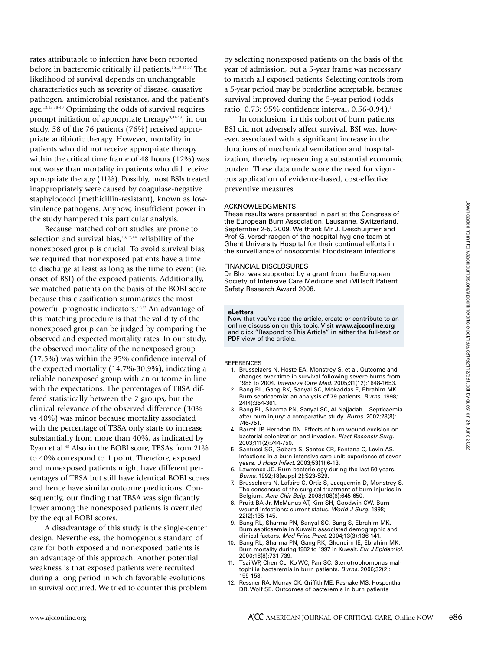rates attributable to infection have been reported before in bacteremic critically ill patients. 15,19,36,37 The likelihood of survival depends on unchangeable characteristics such as severity of disease, causative pathogen, antimicrobial resistance, and the patient's age. 12,13,38-40 Optimizing the odds of survival requires prompt initiation of appropriate therapy<sup>3,41-43</sup>; in our study, 58 of the 76 patients (76%) received appropriate antibiotic therapy. However, mortality in patients who did not receive appropriate therapy within the critical time frame of 48 hours (12%) was not worse than mortality in patients who did receive appropriate therapy (11%). Possibly, most BSIs treated inappropriately were caused by coagulase-negative staphylococci (methicillin-resistant), known as lowvirulence pathogens. Anyhow, insufficient power in the study hampered this particular analysis.

Because matched cohort studies are prone to selection and survival bias,<sup>13,17,44</sup> reliability of the nonexposed group is crucial. To avoid survival bias, we required that nonexposed patients have a time to discharge at least as long as the time to event (ie, onset of BSI) of the exposed patients. Additionally, we matched patients on the basis of the BOBI score because this classification summarizes the most powerful prognostic indicators. 22,23 An advantage of this matching procedure is that the validity of the nonexposed group can be judged by comparing the observed and expected mortality rates. In our study, the observed mortality of the nonexposed group (17.5%) was within the 95% confidence interval of the expected mortality (14.7%-30.9%), indicating a reliable nonexposed group with an outcome in line with the expectations. The percentages of TBSA differed statistically between the 2 groups, but the clinical relevance of the observed difference (30% vs 40%) was minor because mortality associated with the percentage of TBSA only starts to increase substantially from more than 40%, as indicated by Ryan et al. <sup>45</sup> Also in the BOBI score, TBSAs from 21% to 40% correspond to 1 point. Therefore, exposed and nonexposed patients might have different percentages of TBSA but still have identical BOBI scores and hence have similar outcome predictions. Consequently, our finding that TBSA was significantly lower among the nonexposed patients is overruled by the equal BOBI scores.

A disadvantage of this study is the single-center design. Nevertheless, the homogenous standard of care for both exposed and nonexposed patients is an advantage of this approach. Another potential weakness is that exposed patients were recruited during a long period in which favorable evolutions in survival occurred. We tried to counter this problem

by selecting nonexposed patients on the basis of the year of admission, but a 5-year frame was necessary to match all exposed patients. Selecting controls from a 5-year period may be borderline acceptable, because survival improved during the 5-year period (odds ratio, 0.73; 95% confidence interval, 0.56-0.94). 1

In conclusion, in this cohort of burn patients, BSI did not adversely affect survival. BSI was, however, associated with a significant increase in the durations of mechanical ventilation and hospitalization, thereby representing a substantial economic burden. These data underscore the need for vigorous application of evidence-based, cost-effective preventive measures.

### **ACKNOWLEDGMENTS**

These results were presented in part at the Congress of the European Burn Association, lausanne, Switzerland, September 2-5, 2009. we thank Mr J. Deschuijmer and Prof G. Verschraegen of the hospital hygiene team at Ghent University Hospital for their continual efforts in the surveillance of nosocomial bloodstream infections.

### FINANCIAl DISClOSURES

Dr Blot was supported by a grant from the European Society of Intensive Care Medicine and iMDsoft Patient Safety Research Award 2008.

### **eLetters**

Now that you've read the article, create or contribute to an online discussion on this topic. Visit **www.ajcconline.org** and click "Respond toThis Article" in either the full-text or PDF view of the article.

### REFERENCES

- 1. Brusselaers N, Hoste EA, Monstrey S, et al. Outcome and changes over time in survival following severe burns from 1985 to 2004. *Intensive Care Med.* 2005;31(12):1648-1653.
- 2. Bang Rl, Gang Rk, Sanyal SC, Mokaddas E, Ebrahim Mk. Burn septicaemia: an analysis of 79 patients. *Burns.* 1998; 24(4):354-361.
- 3. Bang Rl, Sharma PN, Sanyal SC, Al Najjadah I. Septicaemia after burn injury: a comparative study. *Burns.* 2002;28(8): 746-751.
- 4. Barret JP, Herndon DN. Effects of burn wound excision on bacterial colonization and invasion. *Plast Reconstr Surg.* 2003;111(2):744-750.
- 5 Santucci SG, Gobara S, Santos CR, Fontana C, levin AS. Infections in a burn intensive care unit: experience of seven years. *J Hosp Infect.* 2003;53(1):6-13.
- 6. lawrence JC. Burn bacteriology during the last 50 years. *Burns.* 1992;18(suppl 2):S23-S29.
- 7. Brusselaers N, lafaire C, Ortiz S, Jacquemin D, Monstrey S. The consensus of the surgical treatment of burn injuries in Belgium. *Acta Chir Belg.* 2008;108(6):645-650.
- 8. Pruitt BA Jr, McManus AT, kim SH, Goodwin Cw. Burn wound infections: current status. *World J Surg.* 1998; 22(2):135-145.
- 9. Bang Rl, Sharma PN, Sanyal SC, Bang S, Ebrahim Mk. Burn septicaemia in kuwait: associated demographic and clinical factors. *Med Princ Pract.* 2004;13(3):136-141.
- 10. Bang Rl, Sharma PN, Gang Rk, Ghoneim IE, Ebrahim Mk. Burn mortality during 1982 to 1997 in kuwait. *Eur J Epidemiol.* 2000;16(8):731-739.
- 11. Tsai wP, Chen Cl, ko wC, Pan SC. Stenotrophomonas maltophilia bacteremia in burn patients. *Burns.* 2006;32(2): 155-158.
- 12. Ressner RA, Murray Ck, Griffith ME, Rasnake MS, Hospenthal DR, wolf SE. Outcomes of bacteremia in burn patients